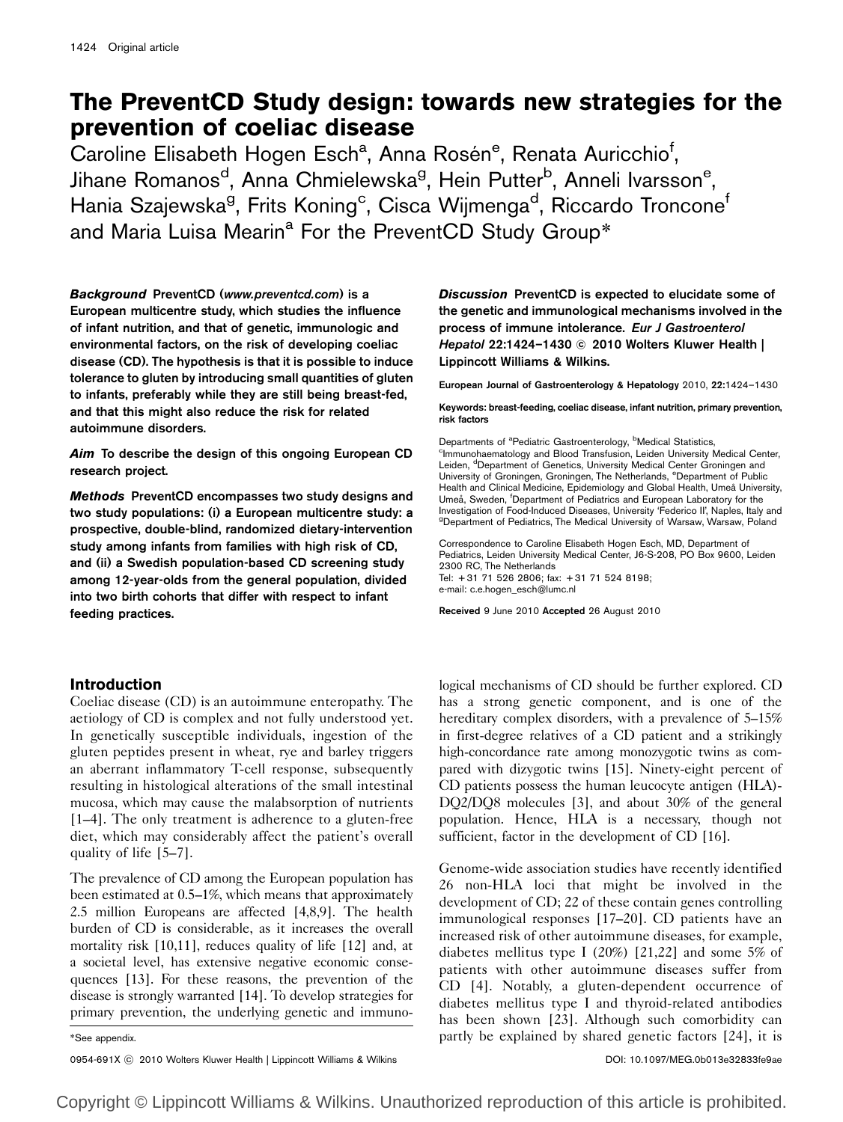# The PreventCD Study design: towards new strategies for the prevention of coeliac disease

Caroline Elisabeth Hogen Esch<sup>a</sup>, Anna Rosén<sup>e</sup>, Renata Auricchio<sup>f</sup>, Jihane Romanos<sup>d</sup>, Anna Chmielewska<sup>g</sup>, Hein Putter<sup>b</sup>, Anneli Ivarsson<sup>e</sup>, Hania Szajewska<sup>g</sup>, Frits Koning<sup>c</sup>, Cisca Wijmenga<sup>d</sup>, Riccardo Troncone<sup>f</sup> and Maria Luisa Mearin<sup>a</sup> For the PreventCD Study Group\*

Background PreventCD (www.preventcd.com) is a European multicentre study, which studies the influence of infant nutrition, and that of genetic, immunologic and environmental factors, on the risk of developing coeliac disease (CD). The hypothesis is that it is possible to induce tolerance to gluten by introducing small quantities of gluten to infants, preferably while they are still being breast-fed, and that this might also reduce the risk for related autoimmune disorders.

Aim To describe the design of this ongoing European CD research project.

Methods PreventCD encompasses two study designs and two study populations: (i) a European multicentre study: a prospective, double-blind, randomized dietary-intervention study among infants from families with high risk of CD, and (ii) a Swedish population-based CD screening study among 12-year-olds from the general population, divided into two birth cohorts that differ with respect to infant feeding practices.

Discussion PreventCD is expected to elucidate some of the genetic and immunological mechanisms involved in the process of immune intolerance. Eur J Gastroenterol He*patol* 22:1424–1430 © 2010 Wolters Kluwer Health | Lippincott Williams & Wilkins.

European Journal of Gastroenterology & Hepatology 2010, 22:1424–1430

Keywords: breast-feeding, coeliac disease, infant nutrition, primary prevention, risk factors

Departments of <sup>a</sup>Pediatric Gastroenterology, <sup>b</sup>Medical Statistics,<br><sup>c</sup>Immunohaematology and Blood Transfusion, Leiden University Medical Center, Leiden, <sup>d</sup>Department of Genetics, University Medical Center Groningen and University of Groningen, Groningen, The Netherlands, <sup>e</sup>Department of Public Health and Clinical Medicine, Epidemiology and Global Health, Umeå University, Umeå, Sweden, <sup>f</sup>Department of Pediatrics and European Laboratory for the Investigation of Food-Induced Diseases, University 'Federico II', Naples, Italy and <sup>g</sup>Department of Pediatrics, The Medical University of Warsaw, Warsaw, Poland

Correspondence to Caroline Elisabeth Hogen Esch, MD, Department of Pediatrics, Leiden University Medical Center, J6-S-208, PO Box 9600, Leiden 2300 RC, The Netherlands Tel: + 31 71 526 2806; fax: + 31 71 524 8198; e-mail: c.e.hogen\_esch@lumc.nl

Received 9 June 2010 Accepted 26 August 2010

# Introduction

Coeliac disease (CD) is an autoimmune enteropathy. The aetiology of CD is complex and not fully understood yet. In genetically susceptible individuals, ingestion of the gluten peptides present in wheat, rye and barley triggers an aberrant inflammatory T-cell response, subsequently resulting in histological alterations of the small intestinal mucosa, which may cause the malabsorption of nutrients [1–4]. The only treatment is adherence to a gluten-free diet, which may considerably affect the patient's overall quality of life [5–7].

The prevalence of CD among the European population has been estimated at 0.5–1%, which means that approximately 2.5 million Europeans are affected [4,8,9]. The health burden of CD is considerable, as it increases the overall mortality risk [10,11], reduces quality of life [12] and, at a societal level, has extensive negative economic consequences [13]. For these reasons, the prevention of the disease is strongly warranted [14]. To develop strategies for primary prevention, the underlying genetic and immuno-

0954-691X ⓒ 2010 Wolters Kluwer Health | Lippincott Williams & Wilkins **DOI: 10.1097/MEG.0b013e32833fe9ae** 

logical mechanisms of CD should be further explored. CD has a strong genetic component, and is one of the hereditary complex disorders, with a prevalence of 5–15% in first-degree relatives of a CD patient and a strikingly high-concordance rate among monozygotic twins as compared with dizygotic twins [15]. Ninety-eight percent of CD patients possess the human leucocyte antigen (HLA)- DQ2/DQ8 molecules [3], and about 30% of the general population. Hence, HLA is a necessary, though not sufficient, factor in the development of CD [16].

Genome-wide association studies have recently identified 26 non-HLA loci that might be involved in the development of CD; 22 of these contain genes controlling immunological responses [17–20]. CD patients have an increased risk of other autoimmune diseases, for example, diabetes mellitus type I (20%) [21,22] and some 5% of patients with other autoimmune diseases suffer from CD [4]. Notably, a gluten-dependent occurrence of diabetes mellitus type I and thyroid-related antibodies has been shown [23]. Although such comorbidity can \*See appendix. The same partly be explained by shared genetic factors [24], it is

Copyright © Lippincott Williams & Wilkins. Unauthorized reproduction of this article is prohibited.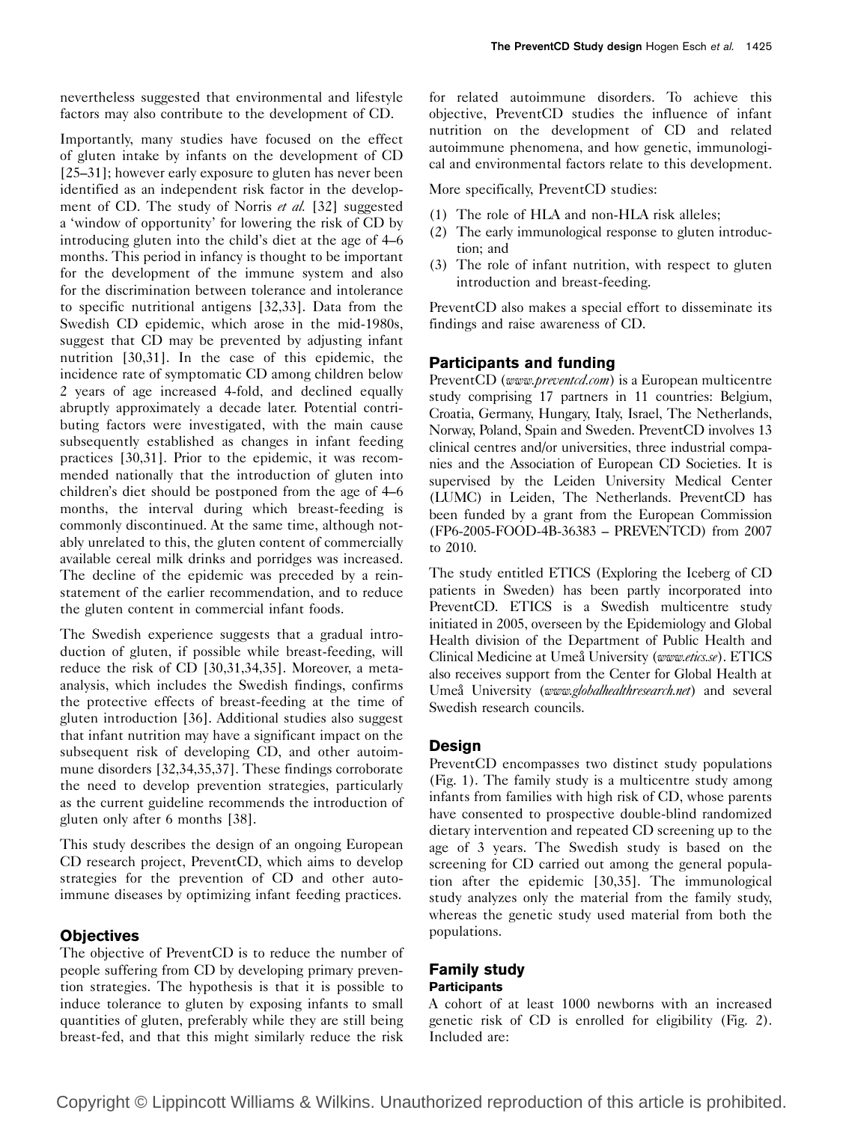nevertheless suggested that environmental and lifestyle factors may also contribute to the development of CD.

Importantly, many studies have focused on the effect of gluten intake by infants on the development of CD [25–31]; however early exposure to gluten has never been identified as an independent risk factor in the development of CD. The study of Norris et al. [32] suggested a 'window of opportunity' for lowering the risk of CD by introducing gluten into the child's diet at the age of 4–6 months. This period in infancy is thought to be important for the development of the immune system and also for the discrimination between tolerance and intolerance to specific nutritional antigens [32,33]. Data from the Swedish CD epidemic, which arose in the mid-1980s, suggest that CD may be prevented by adjusting infant nutrition [30,31]. In the case of this epidemic, the incidence rate of symptomatic CD among children below 2 years of age increased 4-fold, and declined equally abruptly approximately a decade later. Potential contributing factors were investigated, with the main cause subsequently established as changes in infant feeding practices [30,31]. Prior to the epidemic, it was recommended nationally that the introduction of gluten into children's diet should be postponed from the age of 4–6 months, the interval during which breast-feeding is commonly discontinued. At the same time, although notably unrelated to this, the gluten content of commercially available cereal milk drinks and porridges was increased. The decline of the epidemic was preceded by a reinstatement of the earlier recommendation, and to reduce the gluten content in commercial infant foods.

The Swedish experience suggests that a gradual introduction of gluten, if possible while breast-feeding, will reduce the risk of CD [30,31,34,35]. Moreover, a metaanalysis, which includes the Swedish findings, confirms the protective effects of breast-feeding at the time of gluten introduction [36]. Additional studies also suggest that infant nutrition may have a significant impact on the subsequent risk of developing CD, and other autoimmune disorders [32,34,35,37]. These findings corroborate the need to develop prevention strategies, particularly as the current guideline recommends the introduction of gluten only after 6 months [38].

This study describes the design of an ongoing European CD research project, PreventCD, which aims to develop strategies for the prevention of CD and other autoimmune diseases by optimizing infant feeding practices.

# **Objectives**

The objective of PreventCD is to reduce the number of people suffering from CD by developing primary prevention strategies. The hypothesis is that it is possible to induce tolerance to gluten by exposing infants to small quantities of gluten, preferably while they are still being breast-fed, and that this might similarly reduce the risk

for related autoimmune disorders. To achieve this objective, PreventCD studies the influence of infant nutrition on the development of CD and related autoimmune phenomena, and how genetic, immunological and environmental factors relate to this development.

More specifically, PreventCD studies:

- (1) The role of HLA and non-HLA risk alleles;
- (2) The early immunological response to gluten introduction; and
- (3) The role of infant nutrition, with respect to gluten introduction and breast-feeding.

PreventCD also makes a special effort to disseminate its findings and raise awareness of CD.

## Participants and funding

PreventCD (www.preventcd.com) is a European multicentre study comprising 17 partners in 11 countries: Belgium, Croatia, Germany, Hungary, Italy, Israel, The Netherlands, Norway, Poland, Spain and Sweden. PreventCD involves 13 clinical centres and/or universities, three industrial companies and the Association of European CD Societies. It is supervised by the Leiden University Medical Center (LUMC) in Leiden, The Netherlands. PreventCD has been funded by a grant from the European Commission (FP6-2005-FOOD-4B-36383 – PREVENTCD) from 2007 to 2010.

The study entitled ETICS (Exploring the Iceberg of CD patients in Sweden) has been partly incorporated into PreventCD. ETICS is a Swedish multicentre study initiated in 2005, overseen by the Epidemiology and Global Health division of the Department of Public Health and Clinical Medicine at Umeå University (www.etics.se). ETICS also receives support from the Center for Global Health at Umeå University (www.globalhealthresearch.net) and several Swedish research councils.

## **Design**

PreventCD encompasses two distinct study populations (Fig. 1). The family study is a multicentre study among infants from families with high risk of CD, whose parents have consented to prospective double-blind randomized dietary intervention and repeated CD screening up to the age of 3 years. The Swedish study is based on the screening for CD carried out among the general population after the epidemic [30,35]. The immunological study analyzes only the material from the family study, whereas the genetic study used material from both the populations.

## Family study **Participants**

A cohort of at least 1000 newborns with an increased genetic risk of CD is enrolled for eligibility (Fig. 2). Included are: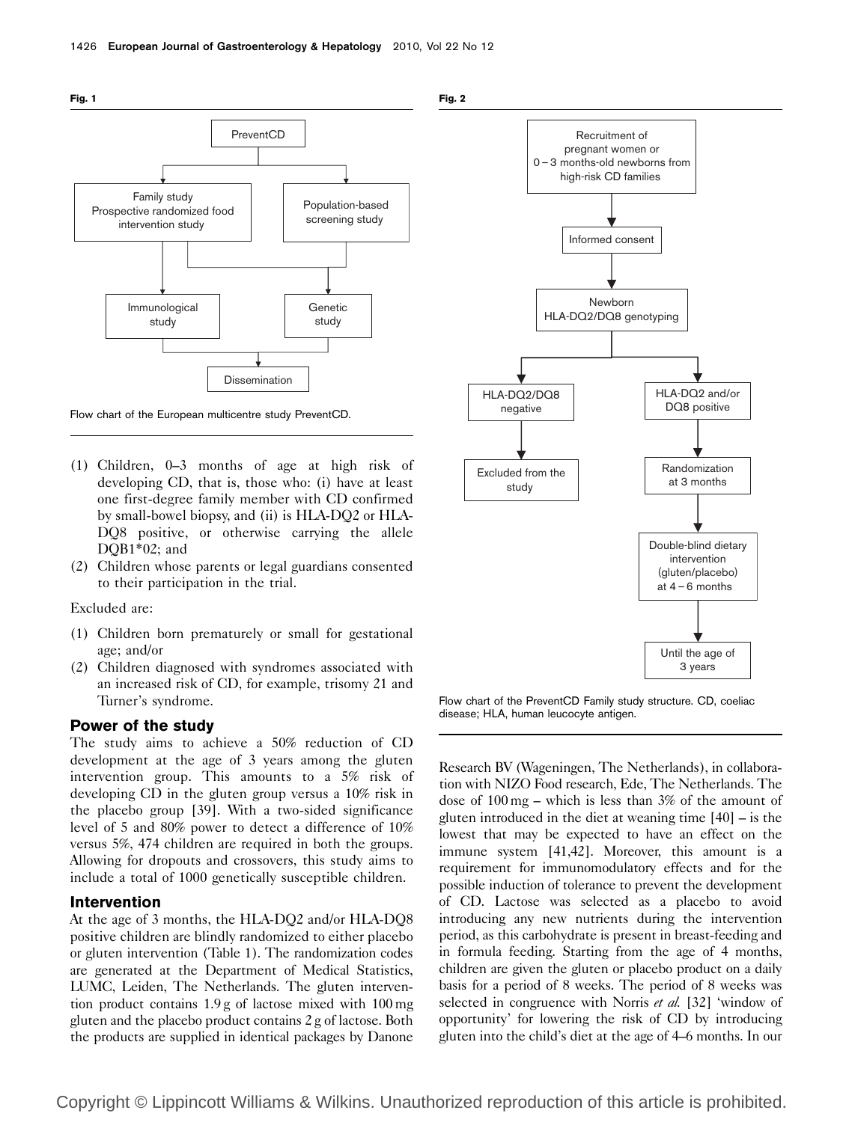

Flow chart of the European multicentre study PreventCD.

- (1) Children, 0–3 months of age at high risk of developing CD, that is, those who: (i) have at least one first-degree family member with CD confirmed by small-bowel biopsy, and (ii) is HLA-DQ2 or HLA-DQ8 positive, or otherwise carrying the allele DOB1\*02; and
- (2) Children whose parents or legal guardians consented to their participation in the trial.

Excluded are:

- (1) Children born prematurely or small for gestational age; and/or
- (2) Children diagnosed with syndromes associated with an increased risk of CD, for example, trisomy 21 and Turner's syndrome.

## Power of the study

The study aims to achieve a 50% reduction of CD development at the age of 3 years among the gluten intervention group. This amounts to a 5% risk of developing CD in the gluten group versus a 10% risk in the placebo group [39]. With a two-sided significance level of 5 and 80% power to detect a difference of 10% versus 5%, 474 children are required in both the groups. Allowing for dropouts and crossovers, this study aims to include a total of 1000 genetically susceptible children.

# Intervention

At the age of 3 months, the HLA-DQ2 and/or HLA-DQ8 positive children are blindly randomized to either placebo or gluten intervention (Table 1). The randomization codes are generated at the Department of Medical Statistics, LUMC, Leiden, The Netherlands. The gluten intervention product contains 1.9 g of lactose mixed with 100 mg gluten and the placebo product contains 2 g of lactose. Both the products are supplied in identical packages by Danone





Flow chart of the PreventCD Family study structure. CD, coeliac disease; HLA, human leucocyte antigen.

Research BV (Wageningen, The Netherlands), in collaboration with NIZO Food research, Ede, The Netherlands. The dose of 100 mg – which is less than 3% of the amount of gluten introduced in the diet at weaning time [40] – is the lowest that may be expected to have an effect on the immune system [41,42]. Moreover, this amount is a requirement for immunomodulatory effects and for the possible induction of tolerance to prevent the development of CD. Lactose was selected as a placebo to avoid introducing any new nutrients during the intervention period, as this carbohydrate is present in breast-feeding and in formula feeding. Starting from the age of 4 months, children are given the gluten or placebo product on a daily basis for a period of 8 weeks. The period of 8 weeks was selected in congruence with Norris et al. [32] 'window of opportunity' for lowering the risk of CD by introducing gluten into the child's diet at the age of 4–6 months. In our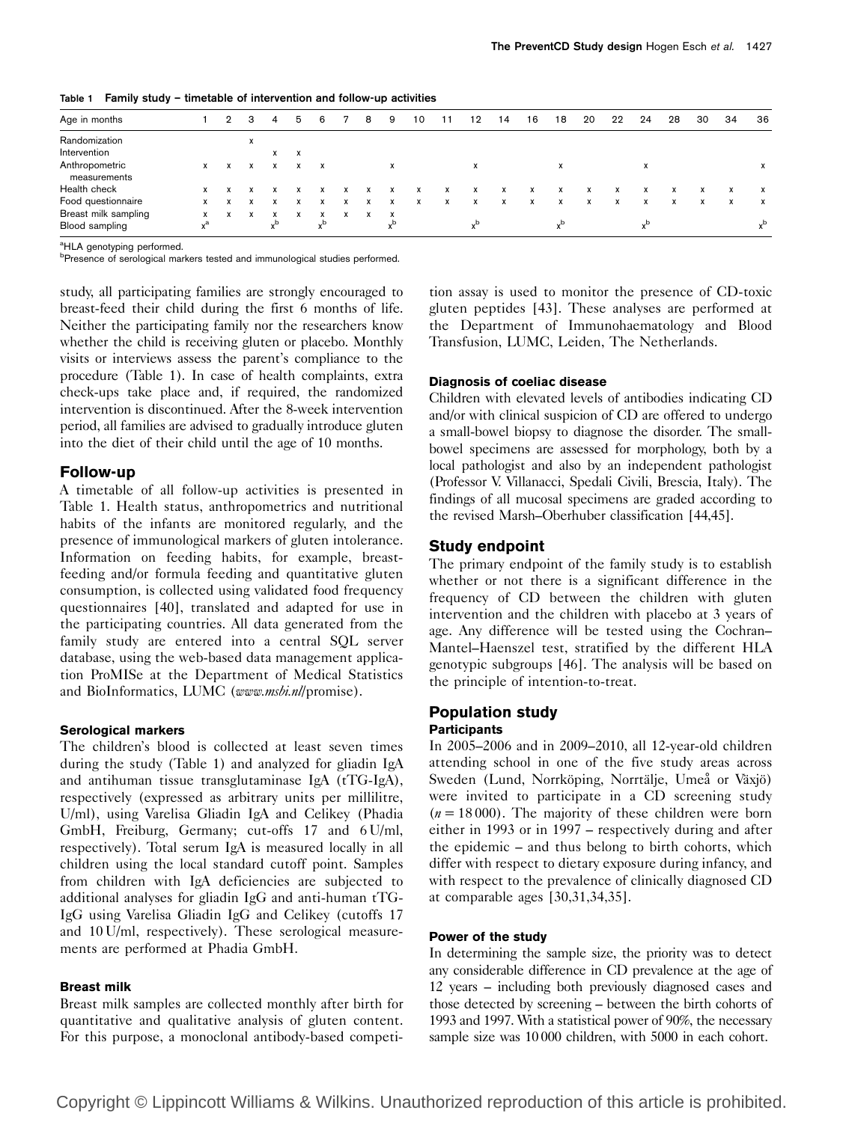| Age in months                  |   | 2 | з         | 4         | 5 | 6   |   | 8 | 9   | 10 |   | 12  | 14 | 16 | 18 | 20 | 22 | 24 | 28 | 30 | 34 | 36           |
|--------------------------------|---|---|-----------|-----------|---|-----|---|---|-----|----|---|-----|----|----|----|----|----|----|----|----|----|--------------|
| Randomization                  |   |   | X         |           |   |     |   |   |     |    |   |     |    |    |    |    |    |    |    |    |    |              |
| Intervention                   |   |   |           | x         | x |     |   |   |     |    |   |     |    |    |    |    |    |    |    |    |    |              |
| Anthropometric<br>measurements | x |   |           | X         | x | X   |   |   | x   |    |   | X   |    |    | X  |    |    | X  |    |    |    | x            |
| Health check                   |   |   |           |           |   |     |   |   |     |    | x | x   |    | x  | x  | x  | x  |    |    |    | X  | X            |
| Food questionnaire             | x |   |           |           |   |     |   | x | x   | X  | x | X   | X  | X  | X  | x  | x  | x  | X  | x  | X  | $\mathsf{x}$ |
| Breast milk sampling           | x |   | $\lambda$ | $\lambda$ | x | x   | x | x | x   |    |   |     |    |    |    |    |    |    |    |    |    |              |
| Blood sampling                 |   |   |           | J.D       |   | d., |   |   | d., |    |   | ub. |    |    |    |    |    |    |    |    |    |              |

Table 1 Family study – timetable of intervention and follow-up activities

<sup>a</sup>HLA genotyping performed.

<sup>b</sup>Presence of serological markers tested and immunological studies performed.

study, all participating families are strongly encouraged to breast-feed their child during the first 6 months of life. Neither the participating family nor the researchers know whether the child is receiving gluten or placebo. Monthly visits or interviews assess the parent's compliance to the procedure (Table 1). In case of health complaints, extra check-ups take place and, if required, the randomized intervention is discontinued. After the 8-week intervention period, all families are advised to gradually introduce gluten into the diet of their child until the age of 10 months.

#### Follow-up

A timetable of all follow-up activities is presented in Table 1. Health status, anthropometrics and nutritional habits of the infants are monitored regularly, and the presence of immunological markers of gluten intolerance. Information on feeding habits, for example, breastfeeding and/or formula feeding and quantitative gluten consumption, is collected using validated food frequency questionnaires [40], translated and adapted for use in the participating countries. All data generated from the family study are entered into a central SQL server database, using the web-based data management application ProMISe at the Department of Medical Statistics and BioInformatics, LUMC (www.msbi.nl/promise).

#### Serological markers

The children's blood is collected at least seven times during the study (Table 1) and analyzed for gliadin IgA and antihuman tissue transglutaminase IgA (tTG-IgA), respectively (expressed as arbitrary units per millilitre, U/ml), using Varelisa Gliadin IgA and Celikey (Phadia GmbH, Freiburg, Germany; cut-offs 17 and 6 U/ml, respectively). Total serum IgA is measured locally in all children using the local standard cutoff point. Samples from children with IgA deficiencies are subjected to additional analyses for gliadin IgG and anti-human tTG-IgG using Varelisa Gliadin IgG and Celikey (cutoffs 17 and 10 U/ml, respectively). These serological measurements are performed at Phadia GmbH.

#### Breast milk

Breast milk samples are collected monthly after birth for quantitative and qualitative analysis of gluten content. For this purpose, a monoclonal antibody-based competition assay is used to monitor the presence of CD-toxic gluten peptides [43]. These analyses are performed at the Department of Immunohaematology and Blood Transfusion, LUMC, Leiden, The Netherlands.

### Diagnosis of coeliac disease

Children with elevated levels of antibodies indicating CD and/or with clinical suspicion of CD are offered to undergo a small-bowel biopsy to diagnose the disorder. The smallbowel specimens are assessed for morphology, both by a local pathologist and also by an independent pathologist (Professor V. Villanacci, Spedali Civili, Brescia, Italy). The findings of all mucosal specimens are graded according to the revised Marsh–Oberhuber classification [44,45].

## Study endpoint

The primary endpoint of the family study is to establish whether or not there is a significant difference in the frequency of CD between the children with gluten intervention and the children with placebo at 3 years of age. Any difference will be tested using the Cochran– Mantel–Haenszel test, stratified by the different HLA genotypic subgroups [46]. The analysis will be based on the principle of intention-to-treat.

#### Population study **Participants**

In 2005–2006 and in 2009–2010, all 12-year-old children attending school in one of the five study areas across Sweden (Lund, Norrköping, Norrtälje, Umeå or Växjö) were invited to participate in a CD screening study  $(n = 18000)$ . The majority of these children were born either in 1993 or in 1997 – respectively during and after the epidemic – and thus belong to birth cohorts, which differ with respect to dietary exposure during infancy, and with respect to the prevalence of clinically diagnosed CD at comparable ages [30,31,34,35].

#### Power of the study

In determining the sample size, the priority was to detect any considerable difference in CD prevalence at the age of 12 years – including both previously diagnosed cases and those detected by screening – between the birth cohorts of 1993 and 1997. With a statistical power of 90%, the necessary sample size was 10 000 children, with 5000 in each cohort.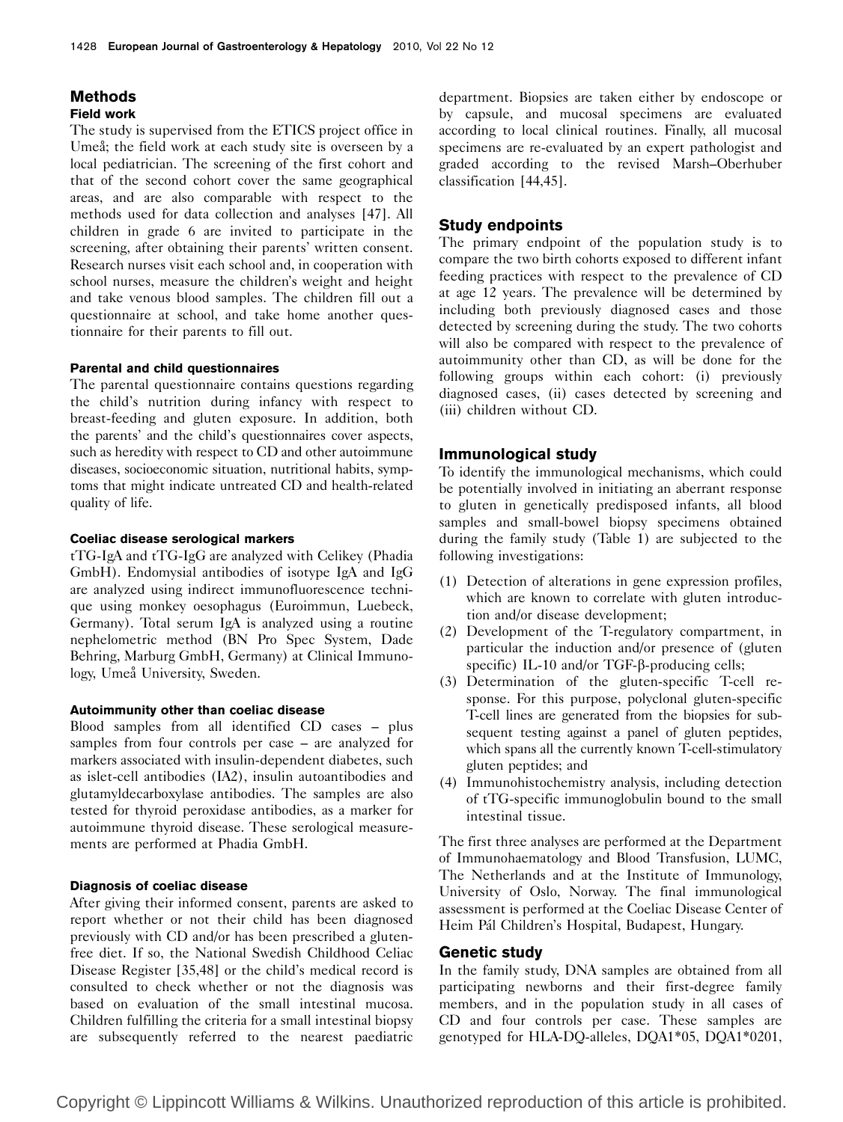## **Methods** Field work

# The study is supervised from the ETICS project office in Umeå; the field work at each study site is overseen by a local pediatrician. The screening of the first cohort and that of the second cohort cover the same geographical areas, and are also comparable with respect to the methods used for data collection and analyses [47]. All children in grade 6 are invited to participate in the screening, after obtaining their parents' written consent. Research nurses visit each school and, in cooperation with school nurses, measure the children's weight and height and take venous blood samples. The children fill out a questionnaire at school, and take home another questionnaire for their parents to fill out.

#### Parental and child questionnaires

The parental questionnaire contains questions regarding the child's nutrition during infancy with respect to breast-feeding and gluten exposure. In addition, both the parents' and the child's questionnaires cover aspects, such as heredity with respect to CD and other autoimmune diseases, socioeconomic situation, nutritional habits, symptoms that might indicate untreated CD and health-related quality of life.

#### Coeliac disease serological markers

tTG-IgA and tTG-IgG are analyzed with Celikey (Phadia GmbH). Endomysial antibodies of isotype IgA and IgG are analyzed using indirect immunofluorescence technique using monkey oesophagus (Euroimmun, Luebeck, Germany). Total serum IgA is analyzed using a routine nephelometric method (BN Pro Spec System, Dade Behring, Marburg GmbH, Germany) at Clinical Immunology, Umeå University, Sweden.

#### Autoimmunity other than coeliac disease

Blood samples from all identified CD cases – plus samples from four controls per case – are analyzed for markers associated with insulin-dependent diabetes, such as islet-cell antibodies (IA2), insulin autoantibodies and glutamyldecarboxylase antibodies. The samples are also tested for thyroid peroxidase antibodies, as a marker for autoimmune thyroid disease. These serological measurements are performed at Phadia GmbH.

### Diagnosis of coeliac disease

After giving their informed consent, parents are asked to report whether or not their child has been diagnosed previously with CD and/or has been prescribed a glutenfree diet. If so, the National Swedish Childhood Celiac Disease Register [35,48] or the child's medical record is consulted to check whether or not the diagnosis was based on evaluation of the small intestinal mucosa. Children fulfilling the criteria for a small intestinal biopsy are subsequently referred to the nearest paediatric department. Biopsies are taken either by endoscope or by capsule, and mucosal specimens are evaluated according to local clinical routines. Finally, all mucosal specimens are re-evaluated by an expert pathologist and graded according to the revised Marsh–Oberhuber classification [44,45].

## Study endpoints

The primary endpoint of the population study is to compare the two birth cohorts exposed to different infant feeding practices with respect to the prevalence of CD at age 12 years. The prevalence will be determined by including both previously diagnosed cases and those detected by screening during the study. The two cohorts will also be compared with respect to the prevalence of autoimmunity other than CD, as will be done for the following groups within each cohort: (i) previously diagnosed cases, (ii) cases detected by screening and (iii) children without CD.

## Immunological study

To identify the immunological mechanisms, which could be potentially involved in initiating an aberrant response to gluten in genetically predisposed infants, all blood samples and small-bowel biopsy specimens obtained during the family study (Table 1) are subjected to the following investigations:

- (1) Detection of alterations in gene expression profiles, which are known to correlate with gluten introduction and/or disease development;
- (2) Development of the T-regulatory compartment, in particular the induction and/or presence of (gluten specific) IL-10 and/or TGF-β-producing cells;
- (3) Determination of the gluten-specific T-cell response. For this purpose, polyclonal gluten-specific T-cell lines are generated from the biopsies for subsequent testing against a panel of gluten peptides, which spans all the currently known T-cell-stimulatory gluten peptides; and
- (4) Immunohistochemistry analysis, including detection of tTG-specific immunoglobulin bound to the small intestinal tissue.

The first three analyses are performed at the Department of Immunohaematology and Blood Transfusion, LUMC, The Netherlands and at the Institute of Immunology, University of Oslo, Norway. The final immunological assessment is performed at the Coeliac Disease Center of Heim Pál Children's Hospital, Budapest, Hungary.

## Genetic study

In the family study, DNA samples are obtained from all participating newborns and their first-degree family members, and in the population study in all cases of CD and four controls per case. These samples are genotyped for HLA-DQ-alleles, DQA1\*05, DQA1\*0201,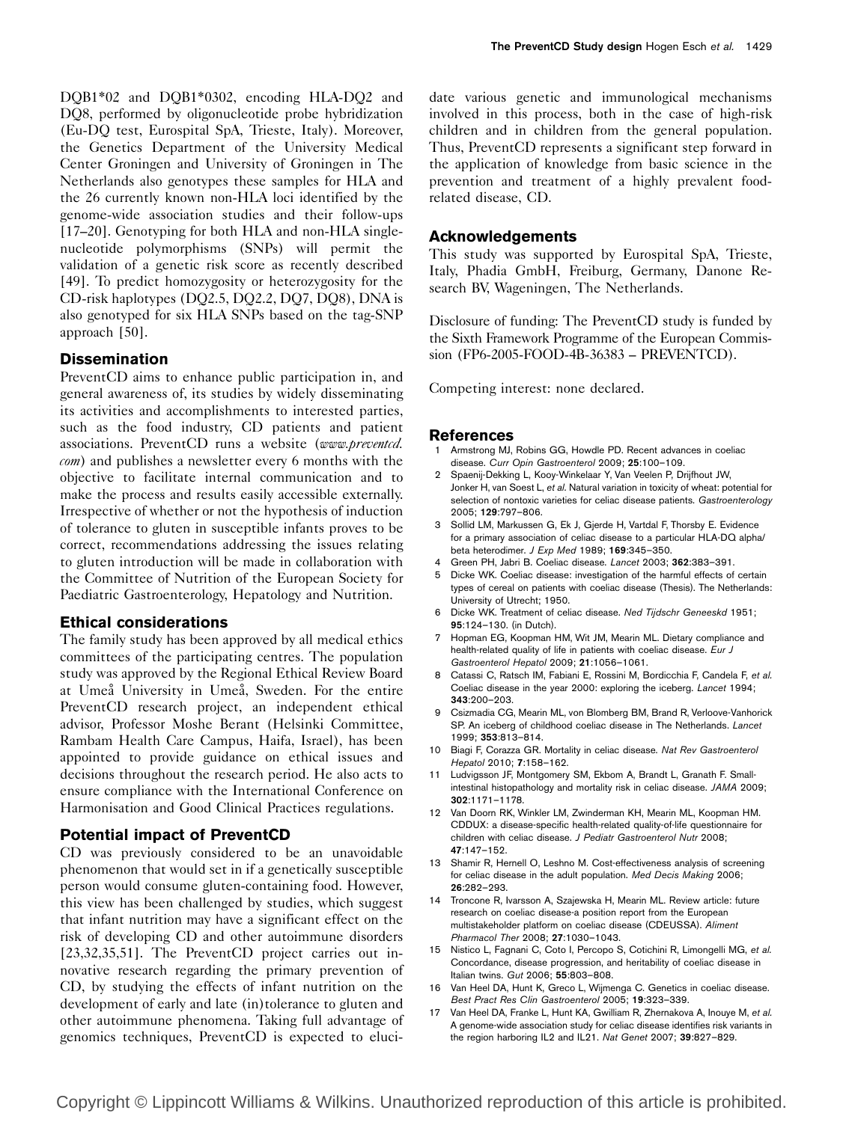DQB1\*02 and DQB1\*0302, encoding HLA-DQ2 and DQ8, performed by oligonucleotide probe hybridization (Eu-DQ test, Eurospital SpA, Trieste, Italy). Moreover, the Genetics Department of the University Medical Center Groningen and University of Groningen in The Netherlands also genotypes these samples for HLA and the 26 currently known non-HLA loci identified by the genome-wide association studies and their follow-ups [17–20]. Genotyping for both HLA and non-HLA singlenucleotide polymorphisms (SNPs) will permit the validation of a genetic risk score as recently described [49]. To predict homozygosity or heterozygosity for the CD-risk haplotypes (DQ2.5, DQ2.2, DQ7, DQ8), DNA is also genotyped for six HLA SNPs based on the tag-SNP approach [50].

# **Dissemination**

PreventCD aims to enhance public participation in, and general awareness of, its studies by widely disseminating its activities and accomplishments to interested parties, such as the food industry, CD patients and patient associations. PreventCD runs a website (www.preventcd. com) and publishes a newsletter every 6 months with the objective to facilitate internal communication and to make the process and results easily accessible externally. Irrespective of whether or not the hypothesis of induction of tolerance to gluten in susceptible infants proves to be correct, recommendations addressing the issues relating to gluten introduction will be made in collaboration with the Committee of Nutrition of the European Society for Paediatric Gastroenterology, Hepatology and Nutrition.

# Ethical considerations

The family study has been approved by all medical ethics committees of the participating centres. The population study was approved by the Regional Ethical Review Board at Umeå University in Umeå, Sweden. For the entire PreventCD research project, an independent ethical advisor, Professor Moshe Berant (Helsinki Committee, Rambam Health Care Campus, Haifa, Israel), has been appointed to provide guidance on ethical issues and decisions throughout the research period. He also acts to ensure compliance with the International Conference on Harmonisation and Good Clinical Practices regulations.

# Potential impact of PreventCD

CD was previously considered to be an unavoidable phenomenon that would set in if a genetically susceptible person would consume gluten-containing food. However, this view has been challenged by studies, which suggest that infant nutrition may have a significant effect on the risk of developing CD and other autoimmune disorders [23,32,35,51]. The PreventCD project carries out innovative research regarding the primary prevention of CD, by studying the effects of infant nutrition on the development of early and late (in)tolerance to gluten and other autoimmune phenomena. Taking full advantage of genomics techniques, PreventCD is expected to eluci-

date various genetic and immunological mechanisms involved in this process, both in the case of high-risk children and in children from the general population. Thus, PreventCD represents a significant step forward in the application of knowledge from basic science in the prevention and treatment of a highly prevalent foodrelated disease, CD.

# Acknowledgements

This study was supported by Eurospital SpA, Trieste, Italy, Phadia GmbH, Freiburg, Germany, Danone Research BV, Wageningen, The Netherlands.

Disclosure of funding: The PreventCD study is funded by the Sixth Framework Programme of the European Commission (FP6-2005-FOOD-4B-36383 – PREVENTCD).

Competing interest: none declared.

## References

- Armstrong MJ, Robins GG, Howdle PD, Recent advances in coeliac disease. Curr Opin Gastroenterol 2009; 25:100–109.
- 2 Spaenij-Dekking L, Kooy-Winkelaar Y, Van Veelen P, Drijfhout JW, Jonker H, van Soest L, et al. Natural variation in toxicity of wheat: potential for selection of nontoxic varieties for celiac disease patients. Gastroenterology 2005; 129:797–806.
- 3 Sollid LM, Markussen G, Ek J, Gjerde H, Vartdal F, Thorsby E. Evidence for a primary association of celiac disease to a particular HLA-DQ alpha/ beta heterodimer. J Exp Med 1989; 169:345–350.
- 4 Green PH, Jabri B. Coeliac disease. Lancet 2003; 362:383–391.
- 5 Dicke WK. Coeliac disease: investigation of the harmful effects of certain types of cereal on patients with coeliac disease (Thesis). The Netherlands: University of Utrecht; 1950.
- 6 Dicke WK. Treatment of celiac disease. Ned Tijdschr Geneeskd 1951; 95:124–130. (in Dutch).
- 7 Hopman EG, Koopman HM, Wit JM, Mearin ML. Dietary compliance and health-related quality of life in patients with coeliac disease. Eur J Gastroenterol Hepatol 2009; 21:1056–1061.
- 8 Catassi C, Ratsch IM, Fabiani E, Rossini M, Bordicchia F, Candela F, et al. Coeliac disease in the year 2000: exploring the iceberg. Lancet 1994; 343:200–203.
- 9 Csizmadia CG, Mearin ML, von Blomberg BM, Brand R, Verloove-Vanhorick SP. An iceberg of childhood coeliac disease in The Netherlands. Lancet 1999; 353:813–814.
- 10 Biagi F, Corazza GR. Mortality in celiac disease. Nat Rev Gastroenterol Hepatol 2010; 7:158–162.
- 11 Ludvigsson JF, Montgomery SM, Ekbom A, Brandt L, Granath F. Smallintestinal histopathology and mortality risk in celiac disease. JAMA 2009; 302:1171–1178.
- 12 Van Doorn RK, Winkler LM, Zwinderman KH, Mearin ML, Koopman HM. CDDUX: a disease-specific health-related quality-of-life questionnaire for children with celiac disease. J Pediatr Gastroenterol Nutr 2008; 47:147–152.
- 13 Shamir R, Hernell O, Leshno M. Cost-effectiveness analysis of screening for celiac disease in the adult population. Med Decis Making 2006; 26:282–293.
- 14 Troncone R, Ivarsson A, Szajewska H, Mearin ML. Review article: future research on coeliac disease-a position report from the European multistakeholder platform on coeliac disease (CDEUSSA). Aliment Pharmacol Ther 2008; 27:1030–1043.
- 15 Nistico L, Fagnani C, Coto I, Percopo S, Cotichini R, Limongelli MG, et al. Concordance, disease progression, and heritability of coeliac disease in Italian twins. Gut 2006; 55:803–808.
- 16 Van Heel DA, Hunt K, Greco L, Wijmenga C. Genetics in coeliac disease. Best Pract Res Clin Gastroenterol 2005; 19:323–339.
- 17 Van Heel DA, Franke L, Hunt KA, Gwilliam R, Zhernakova A, Inouye M, et al. A genome-wide association study for celiac disease identifies risk variants in the region harboring IL2 and IL21. Nat Genet 2007; 39:827–829.